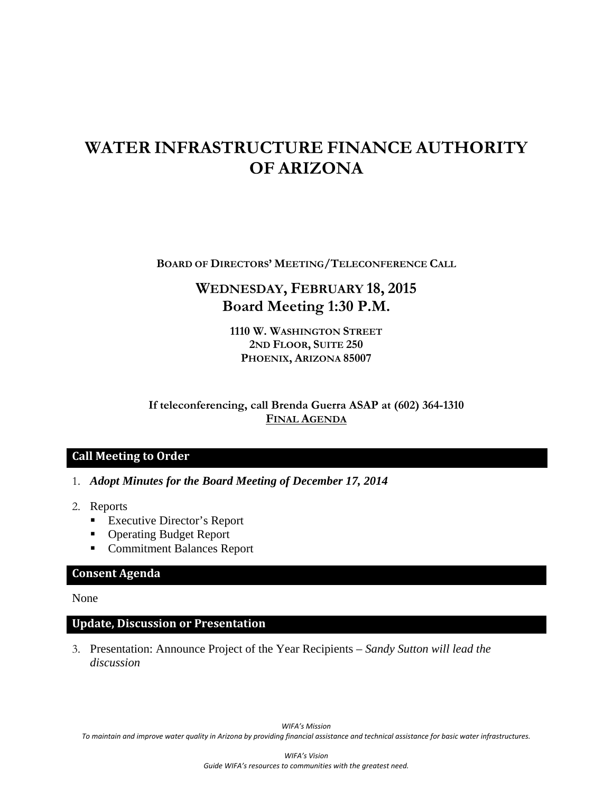# **WATER INFRASTRUCTURE FINANCE AUTHORITY OF ARIZONA**

**BOARD OF DIRECTORS' MEETING/TELECONFERENCE CALL**

# **WEDNESDAY, FEBRUARY 18, 2015 Board Meeting 1:30 P.M.**

**1110 W. WASHINGTON STREET 2ND FLOOR, SUITE 250 PHOENIX, ARIZONA 85007** 

**If teleconferencing, call Brenda Guerra ASAP at (602) 364-1310 FINAL AGENDA**

# **Call Meeting to Order**

- 1. *Adopt Minutes for the Board Meeting of December 17, 2014*
- 2. Reports
	- Executive Director's Report
	- Operating Budget Report
	- Commitment Balances Report

### **Consent Agenda**

None

#### **Update, Discussion or Presentation**

3. Presentation: Announce Project of the Year Recipients – *Sandy Sutton will lead the discussion* 

*WIFA's Mission* To maintain and improve water quality in Arizona by providing financial assistance and technical assistance for basic water infrastructures.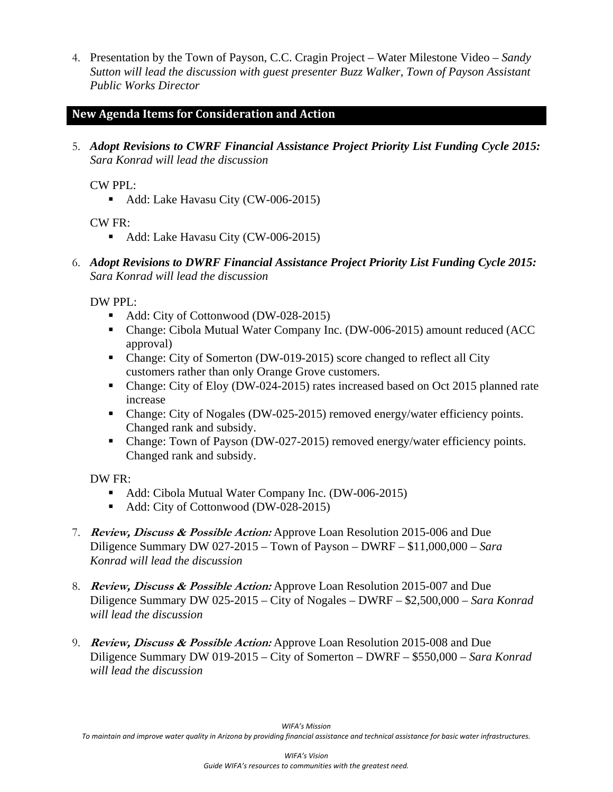4. Presentation by the Town of Payson, C.C. Cragin Project – Water Milestone Video – *Sandy Sutton will lead the discussion with guest presenter Buzz Walker, Town of Payson Assistant Public Works Director* 

# **New Agenda Items for Consideration and Action**

5. *Adopt Revisions to CWRF Financial Assistance Project Priority List Funding Cycle 2015: Sara Konrad will lead the discussion*

#### CW PPL:

Add: Lake Havasu City (CW-006-2015)

CW FR:

- Add: Lake Havasu City (CW-006-2015)
- 6. *Adopt Revisions to DWRF Financial Assistance Project Priority List Funding Cycle 2015: Sara Konrad will lead the discussion*

DW PPL:

- Add: City of Cottonwood (DW-028-2015)
- Change: Cibola Mutual Water Company Inc. (DW-006-2015) amount reduced (ACC approval)
- Change: City of Somerton (DW-019-2015) score changed to reflect all City customers rather than only Orange Grove customers.
- Change: City of Eloy (DW-024-2015) rates increased based on Oct 2015 planned rate increase
- Change: City of Nogales (DW-025-2015) removed energy/water efficiency points. Changed rank and subsidy.
- Change: Town of Payson (DW-027-2015) removed energy/water efficiency points. Changed rank and subsidy.

DW FR:

- Add: Cibola Mutual Water Company Inc. (DW-006-2015)
- Add: City of Cottonwood (DW-028-2015)
- 7. **Review, Discuss & Possible Action:** Approve Loan Resolution 2015-006 and Due Diligence Summary DW 027-2015 – Town of Payson – DWRF – \$11,000,000 *– Sara Konrad will lead the discussion*
- 8. **Review, Discuss & Possible Action:** Approve Loan Resolution 2015-007 and Due Diligence Summary DW 025-2015 – City of Nogales – DWRF – \$2,500,000 – *Sara Konrad will lead the discussion*
- 9. **Review, Discuss & Possible Action:** Approve Loan Resolution 2015-008 and Due Diligence Summary DW 019-2015 – City of Somerton – DWRF – \$550,000 – *Sara Konrad will lead the discussion*

To maintain and improve water quality in Arizona by providing financial assistance and technical assistance for basic water infrastructures.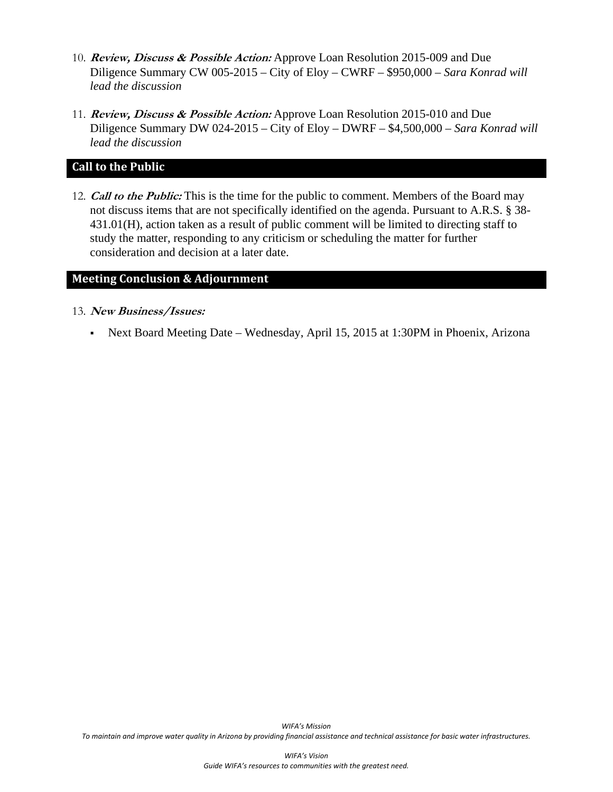- 10. **Review, Discuss & Possible Action:** Approve Loan Resolution 2015-009 and Due Diligence Summary CW 005-2015 – City of Eloy – CWRF – \$950,000 – *Sara Konrad will lead the discussion*
- 11. **Review, Discuss & Possible Action:** Approve Loan Resolution 2015-010 and Due Diligence Summary DW 024-2015 – City of Eloy – DWRF – \$4,500,000 – *Sara Konrad will lead the discussion*

# **Call to the Public**

12. **Call to the Public:** This is the time for the public to comment. Members of the Board may not discuss items that are not specifically identified on the agenda. Pursuant to A.R.S. § 38- 431.01(H), action taken as a result of public comment will be limited to directing staff to study the matter, responding to any criticism or scheduling the matter for further consideration and decision at a later date.

#### **Meeting Conclusion & Adjournment**

- 13. **New Business/Issues:** 
	- Next Board Meeting Date Wednesday, April 15, 2015 at 1:30PM in Phoenix, Arizona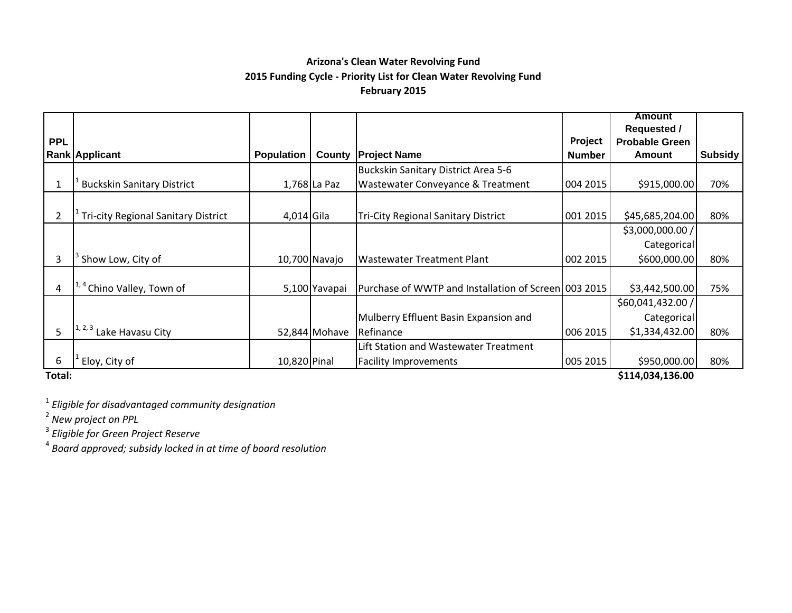# **Arizona's Clean Water Revolving Fund 2015 Funding Cycle ‐ Priority List for Clean Water Revolving Fund February 2015**

|            |                                            |                   |               |                                                      |               | <b>Amount</b>         |         |  |  |  |
|------------|--------------------------------------------|-------------------|---------------|------------------------------------------------------|---------------|-----------------------|---------|--|--|--|
|            |                                            |                   |               |                                                      |               | <b>Requested /</b>    |         |  |  |  |
| <b>PPL</b> |                                            |                   |               |                                                      | Project       | <b>Probable Green</b> |         |  |  |  |
|            | Rank Applicant                             | <b>Population</b> | County        | <b>Project Name</b>                                  | <b>Number</b> | Amount                | Subsidy |  |  |  |
|            |                                            |                   |               | Buckskin Sanitary District Area 5-6                  |               |                       |         |  |  |  |
|            | <b>Buckskin Sanitary District</b>          |                   | 1,768 La Paz  | Wastewater Conveyance & Treatment                    | 004 2015      | \$915,000.00          | 70%     |  |  |  |
|            |                                            |                   |               |                                                      |               |                       |         |  |  |  |
| 2          | <b>Tri-city Regional Sanitary District</b> | $4,014$ Gila      |               | <b>Tri-City Regional Sanitary District</b>           | 001 2015      | \$45,685,204.00       | 80%     |  |  |  |
|            |                                            |                   |               |                                                      |               | \$3,000,000.00 /      |         |  |  |  |
|            |                                            |                   |               |                                                      |               | Categorical           |         |  |  |  |
| 3          | Show Low, City of                          |                   | 10,700 Navajo | <b>Wastewater Treatment Plant</b>                    | 002 2015      | \$600,000.00          | 80%     |  |  |  |
|            |                                            |                   |               |                                                      |               |                       |         |  |  |  |
| 4          | Chino Valley, Town of                      |                   | 5,100 Yavapai | Purchase of WWTP and Installation of Screen 003 2015 |               | \$3,442,500.00        | 75%     |  |  |  |
|            |                                            |                   |               |                                                      |               | \$60,041,432.00/      |         |  |  |  |
|            |                                            |                   |               | Mulberry Effluent Basin Expansion and                |               | Categorical           |         |  |  |  |
| 5          | <sup>1, 2, 3</sup> Lake Havasu City        |                   | 52,844 Mohave | Refinance                                            | 006 2015      | \$1,334,432.00        | 80%     |  |  |  |
|            |                                            |                   |               | Lift Station and Wastewater Treatment                |               |                       |         |  |  |  |
| 6          | Eloy, City of                              | 10,820 Pinal      |               | <b>Facility Improvements</b>                         | 005 2015      | \$950,000.00          | 80%     |  |  |  |
| エーエーレー     | C111 021 126 00                            |                   |               |                                                      |               |                       |         |  |  |  |

**Total:**

**\$114,034,136.00**

1 *Eligible for disadvantaged community designation*

2 *New project on PPL*

3 *Eligible for Green Project Reserve*

4 *Board approved; subsidy locked in at time of board resolution*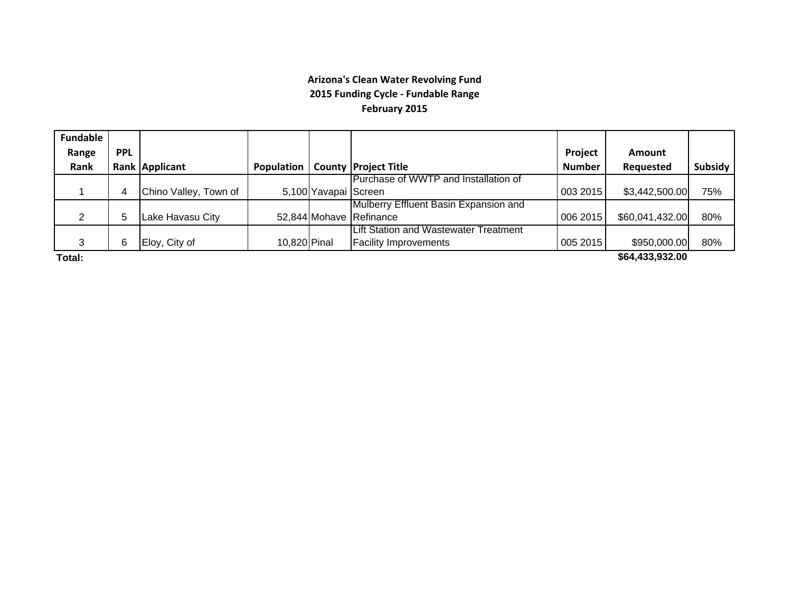## **Arizona's Clean Water Revolving Fund 2015 Funding Cycle ‐ Fundable Range February 2015**

| <b>Fundable</b> |            |                       |                     |                      |                                              |               |                 |         |
|-----------------|------------|-----------------------|---------------------|----------------------|----------------------------------------------|---------------|-----------------|---------|
| Range           | <b>PPL</b> |                       |                     |                      |                                              | Project       | <b>Amount</b>   |         |
| Rank            |            | Rank Applicant        | <b>Population</b> I |                      | <b>County Project Title</b>                  | <b>Number</b> | Requested       | Subsidy |
|                 |            |                       |                     |                      | Purchase of WWTP and Installation of         |               |                 |         |
|                 |            | Chino Valley, Town of |                     | 5,100 Yavapai Screen |                                              | 003 2015      | \$3,442,500.00  | 75%     |
|                 |            |                       |                     |                      | Mulberry Effluent Basin Expansion and        |               |                 |         |
| ◠               | b          | Lake Havasu City      |                     |                      | 52,844 Mohave Refinance                      | 006 2015      | \$60,041,432.00 | 80%     |
|                 |            |                       |                     |                      | <b>Lift Station and Wastewater Treatment</b> |               |                 |         |
| 3               | 6          | Eloy, City of         | 10,820 Pinal        |                      | <b>Facility Improvements</b>                 | 005 2015      | \$950,000.00    | 80%     |
|                 |            |                       |                     |                      |                                              |               |                 |         |

**Total:**

**\$64,433,932.00**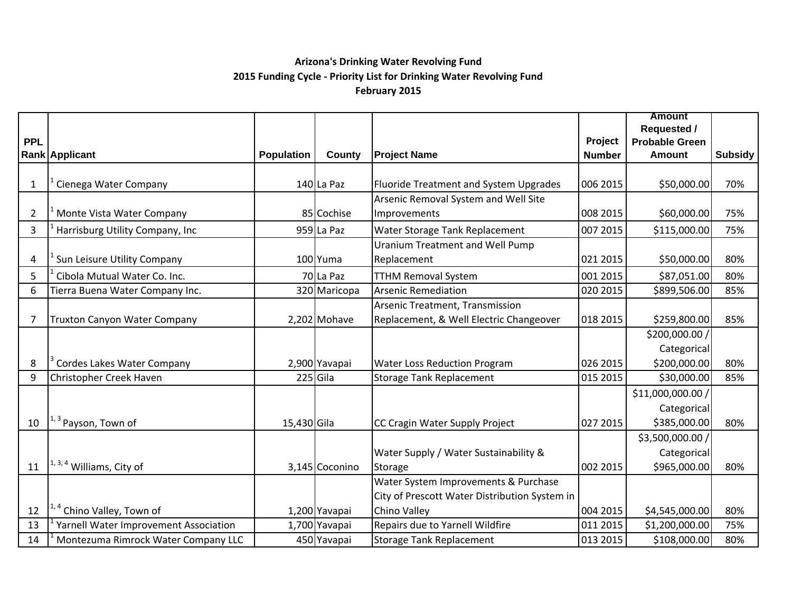# **Arizona's Drinking Water Revolving Fund 2015 Funding Cycle ‐ Priority List for Drinking Water Revolving Fund February 2015**

|                |                                       |                   |                |                                               |               | <b>Amount</b>         |                |
|----------------|---------------------------------------|-------------------|----------------|-----------------------------------------------|---------------|-----------------------|----------------|
|                |                                       |                   |                |                                               |               | <b>Requested /</b>    |                |
| <b>PPL</b>     |                                       |                   |                |                                               | Project       | <b>Probable Green</b> |                |
|                | Rank Applicant                        | <b>Population</b> | County         | <b>Project Name</b>                           | <b>Number</b> | <b>Amount</b>         | <b>Subsidy</b> |
|                |                                       |                   |                |                                               |               |                       |                |
| $\mathbf{1}$   | Cienega Water Company                 |                   | 140 La Paz     | <b>Fluoride Treatment and System Upgrades</b> | 006 2015      | \$50,000.00           | 70%            |
|                |                                       |                   |                | Arsenic Removal System and Well Site          |               |                       |                |
| $\overline{2}$ | Monte Vista Water Company             |                   | 85 Cochise     | Improvements                                  | 008 2015      | \$60,000.00           | 75%            |
| 3              | Harrisburg Utility Company, Inc       |                   | $959$ La Paz   | Water Storage Tank Replacement                | 007 2015      | \$115,000.00          | 75%            |
|                |                                       |                   |                | <b>Uranium Treatment and Well Pump</b>        |               |                       |                |
| 4              | Sun Leisure Utility Company           |                   | 100 Yuma       | Replacement                                   | 021 2015      | \$50,000.00           | 80%            |
| 5              | Cibola Mutual Water Co. Inc.          |                   | 70 La Paz      | <b>TTHM Removal System</b>                    | 001 2015      | \$87,051.00           | 80%            |
| 6              | Tierra Buena Water Company Inc.       |                   | 320 Maricopa   | <b>Arsenic Remediation</b>                    | 020 2015      | \$899,506.00          | 85%            |
|                |                                       |                   |                | Arsenic Treatment, Transmission               |               |                       |                |
| $\overline{7}$ | Truxton Canyon Water Company          |                   | 2,202 Mohave   | Replacement, & Well Electric Changeover       | 018 2015      | \$259,800.00          | 85%            |
|                |                                       |                   |                |                                               |               | \$200,000.00 /        |                |
|                |                                       |                   |                |                                               |               | Categorical           |                |
| 8              | Cordes Lakes Water Company            |                   | 2,900 Yavapai  | Water Loss Reduction Program                  | 026 2015      | \$200,000.00          | 80%            |
| 9              | Christopher Creek Haven               |                   | $225$ Gila     | <b>Storage Tank Replacement</b>               | 015 2015      | \$30,000.00           | 85%            |
|                |                                       |                   |                |                                               |               | \$11,000,000.00 /     |                |
|                |                                       |                   |                |                                               |               | Categorical           |                |
| 10             | $11, 3$ Payson, Town of               | 15,430 Gila       |                | CC Cragin Water Supply Project                | 027 2015      | \$385,000.00          | 80%            |
|                |                                       |                   |                |                                               |               | \$3,500,000.00 /      |                |
|                |                                       |                   |                | Water Supply / Water Sustainability &         |               | Categorical           |                |
| 11             | <sup>1, 3, 4</sup> Williams, City of  |                   | 3,145 Coconino | Storage                                       | 002 2015      | \$965,000.00          | 80%            |
|                |                                       |                   |                | Water System Improvements & Purchase          |               |                       |                |
|                |                                       |                   |                | City of Prescott Water Distribution System in |               |                       |                |
| 12             | Chino Valley, Town of                 |                   | 1,200 Yavapai  | Chino Valley                                  | 004 2015      | \$4,545,000.00        | 80%            |
| 13             | Yarnell Water Improvement Association |                   | 1,700 Yavapai  | Repairs due to Yarnell Wildfire               | 011 2015      | \$1,200,000.00        | 75%            |
| 14             | Montezuma Rimrock Water Company LLC   |                   | 450 Yavapai    | <b>Storage Tank Replacement</b>               | 013 2015      | \$108,000.00          | 80%            |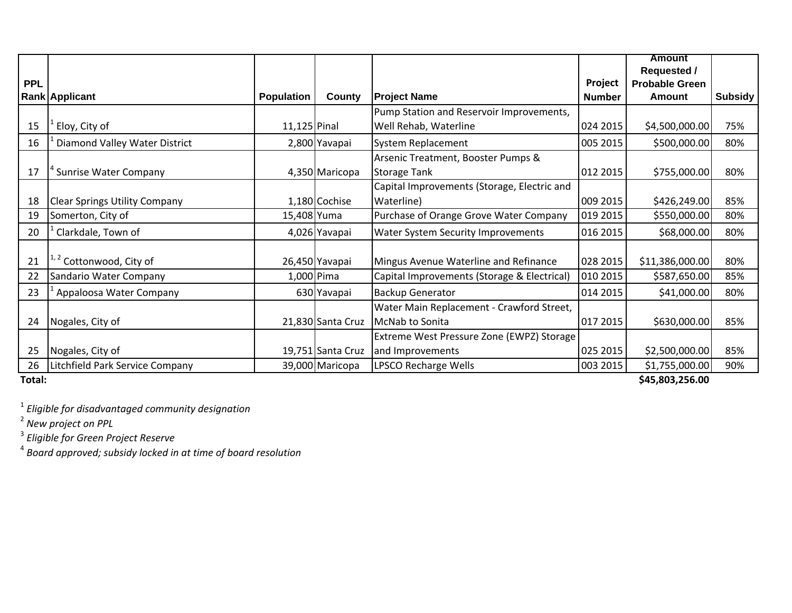|            |                                      |                   |                   |                                             |               | <b>Amount</b>         |                |  |
|------------|--------------------------------------|-------------------|-------------------|---------------------------------------------|---------------|-----------------------|----------------|--|
|            |                                      |                   |                   |                                             |               | <b>Requested /</b>    |                |  |
| <b>PPL</b> |                                      |                   |                   |                                             | Project       | <b>Probable Green</b> |                |  |
|            | <b>Rank Applicant</b>                | <b>Population</b> | County            | <b>Project Name</b>                         | <b>Number</b> | <b>Amount</b>         | <b>Subsidy</b> |  |
|            |                                      |                   |                   | Pump Station and Reservoir Improvements,    |               |                       |                |  |
| 15         | Eloy, City of                        | $11,125$ Pinal    |                   | Well Rehab, Waterline                       | 024 2015      | \$4,500,000.00        | 75%            |  |
| 16         | Diamond Valley Water District        |                   | 2,800 Yavapai     | <b>System Replacement</b>                   | 005 2015      | \$500,000.00          | 80%            |  |
|            |                                      |                   |                   | Arsenic Treatment, Booster Pumps &          |               |                       |                |  |
| 17         | <b>Sunrise Water Company</b>         |                   | 4,350 Maricopa    | <b>Storage Tank</b>                         | 012 2015      | \$755,000.00          | 80%            |  |
|            |                                      |                   |                   | Capital Improvements (Storage, Electric and |               |                       |                |  |
| 18         | <b>Clear Springs Utility Company</b> |                   | 1,180 Cochise     | Waterline)                                  | 009 2015      | \$426,249.00          | 85%            |  |
| 19         | Somerton, City of                    | 15,408 Yuma       |                   | Purchase of Orange Grove Water Company      | 019 2015      | \$550,000.00          | 80%            |  |
| 20         | Clarkdale, Town of                   |                   | 4,026 Yavapai     | Water System Security Improvements          | 016 2015      | \$68,000.00           | 80%            |  |
|            |                                      |                   |                   |                                             |               |                       |                |  |
| 21         | <sup>1,2</sup> Cottonwood, City of   |                   | 26,450 Yavapai    | Mingus Avenue Waterline and Refinance       | 028 2015      | \$11,386,000.00       | 80%            |  |
| 22         | Sandario Water Company               | 1,000 Pima        |                   | Capital Improvements (Storage & Electrical) | 010 2015      | \$587,650.00          | 85%            |  |
| 23         | Appaloosa Water Company              |                   | 630 Yavapai       | <b>Backup Generator</b>                     | 014 2015      | \$41,000.00           | 80%            |  |
|            |                                      |                   |                   | Water Main Replacement - Crawford Street,   |               |                       |                |  |
| 24         | Nogales, City of                     |                   | 21,830 Santa Cruz | McNab to Sonita                             | 017 2015      | \$630,000.00          | 85%            |  |
|            |                                      |                   |                   | Extreme West Pressure Zone (EWPZ) Storage   |               |                       |                |  |
| 25         | Nogales, City of                     |                   | 19,751 Santa Cruz | and Improvements                            | 025 2015      | \$2,500,000.00        | 85%            |  |
| 26         | Litchfield Park Service Company      |                   | 39,000 Maricopa   | LPSCO Recharge Wells                        | 003 2015      | \$1,755,000.00        | 90%            |  |
| Total:     | \$45,803,256.00                      |                   |                   |                                             |               |                       |                |  |

1 *Eligible for disadvantaged community designation*

<sup>2</sup> New project on PPL<br><sup>3</sup> Eligible for Green Project Reserve<br><sup>4</sup> Board approved; subsidy locked in at time of board resolution